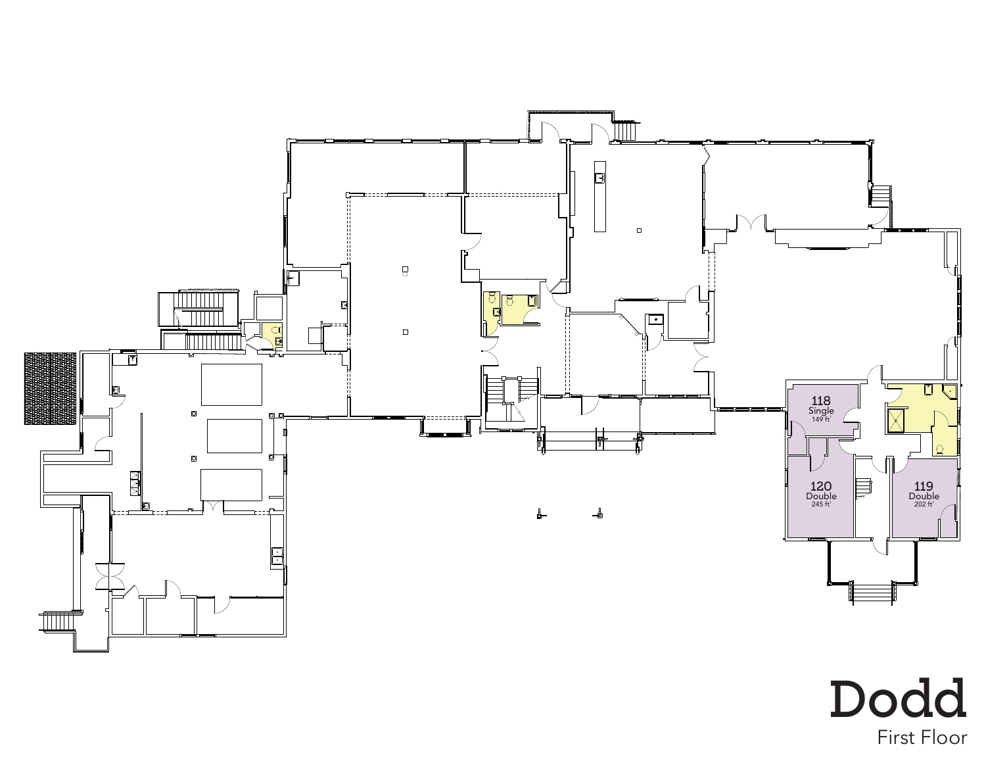

First Floor Dodd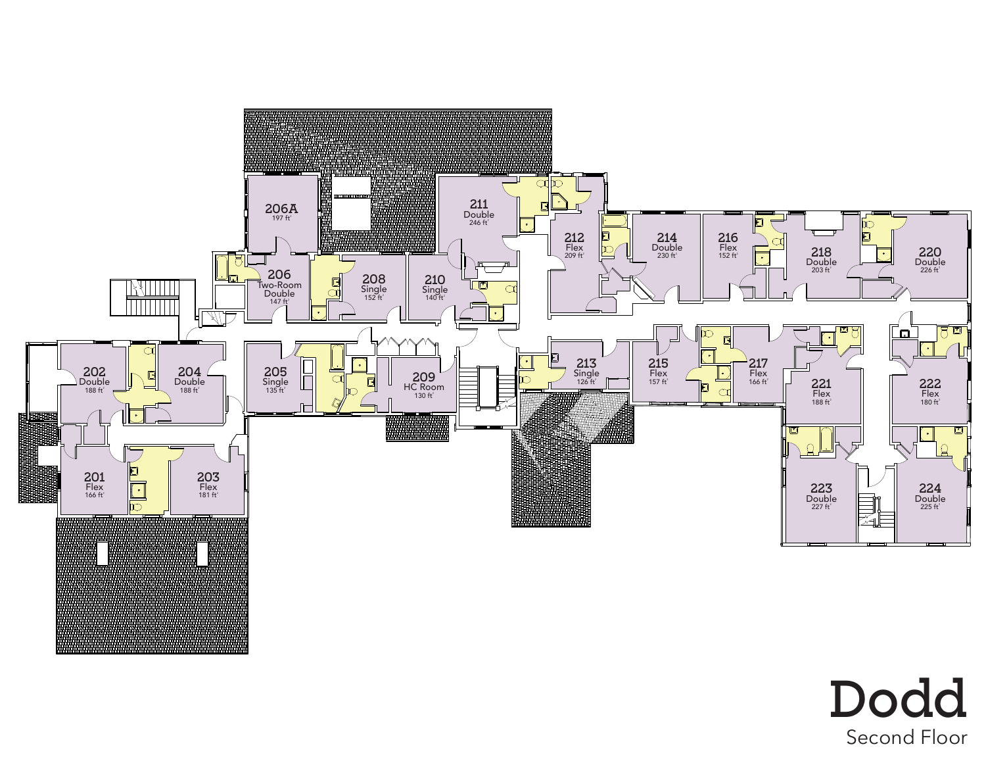